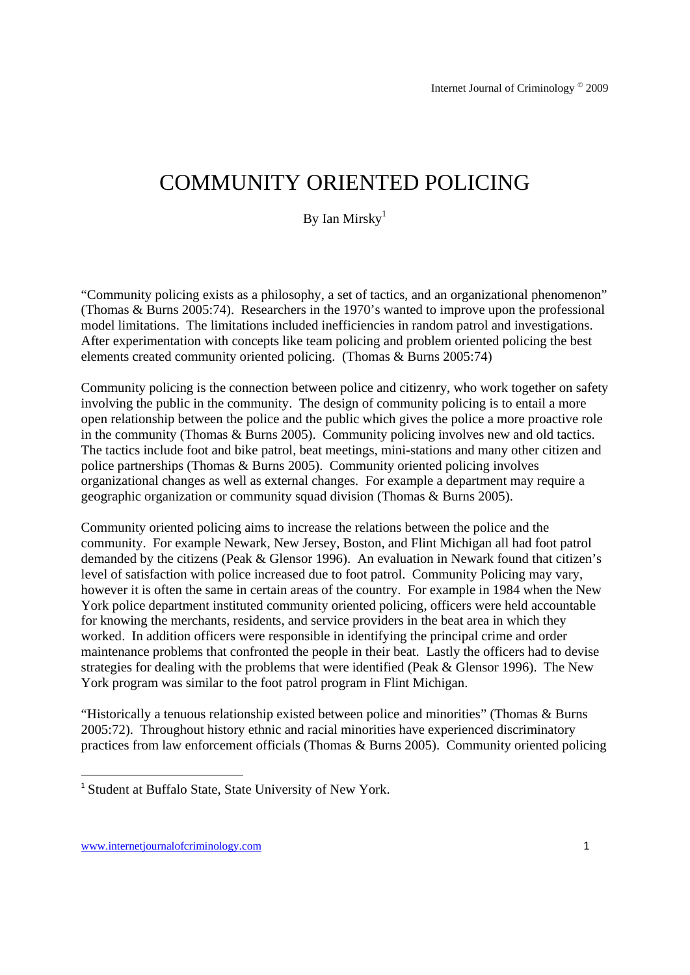## COMMUNITY ORIENTED POLICING

By Ian Mirsky $<sup>1</sup>$ </sup>

"Community policing exists as a philosophy, a set of tactics, and an organizational phenomenon" (Thomas & Burns 2005:74). Researchers in the 1970's wanted to improve upon the professional model limitations. The limitations included inefficiencies in random patrol and investigations. After experimentation with concepts like team policing and problem oriented policing the best elements created community oriented policing. (Thomas & Burns 2005:74)

Community policing is the connection between police and citizenry, who work together on safety involving the public in the community. The design of community policing is to entail a more open relationship between the police and the public which gives the police a more proactive role in the community (Thomas & Burns 2005). Community policing involves new and old tactics. The tactics include foot and bike patrol, beat meetings, mini-stations and many other citizen and police partnerships (Thomas & Burns 2005). Community oriented policing involves organizational changes as well as external changes. For example a department may require a geographic organization or community squad division (Thomas & Burns 2005).

Community oriented policing aims to increase the relations between the police and the community. For example Newark, New Jersey, Boston, and Flint Michigan all had foot patrol demanded by the citizens (Peak & Glensor 1996). An evaluation in Newark found that citizen's level of satisfaction with police increased due to foot patrol. Community Policing may vary, however it is often the same in certain areas of the country. For example in 1984 when the New York police department instituted community oriented policing, officers were held accountable for knowing the merchants, residents, and service providers in the beat area in which they worked. In addition officers were responsible in identifying the principal crime and order maintenance problems that confronted the people in their beat. Lastly the officers had to devise strategies for dealing with the problems that were identified (Peak & Glensor 1996). The New York program was similar to the foot patrol program in Flint Michigan.

"Historically a tenuous relationship existed between police and minorities" (Thomas & Burns 2005:72). Throughout history ethnic and racial minorities have experienced discriminatory practices from law enforcement officials (Thomas & Burns 2005). Community oriented policing

<u> Andrew Maria (1989)</u>

<sup>&</sup>lt;sup>1</sup> Student at Buffalo State, State University of New York.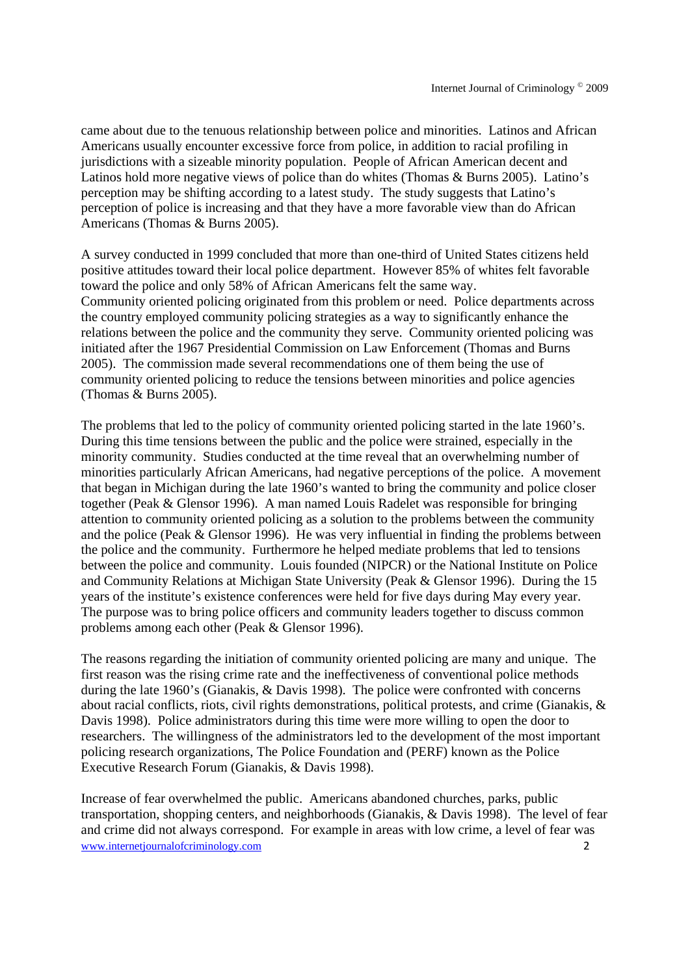came about due to the tenuous relationship between police and minorities. Latinos and African Americans usually encounter excessive force from police, in addition to racial profiling in jurisdictions with a sizeable minority population. People of African American decent and Latinos hold more negative views of police than do whites (Thomas & Burns 2005). Latino's perception may be shifting according to a latest study. The study suggests that Latino's perception of police is increasing and that they have a more favorable view than do African Americans (Thomas & Burns 2005).

A survey conducted in 1999 concluded that more than one-third of United States citizens held positive attitudes toward their local police department. However 85% of whites felt favorable toward the police and only 58% of African Americans felt the same way. Community oriented policing originated from this problem or need. Police departments across the country employed community policing strategies as a way to significantly enhance the relations between the police and the community they serve. Community oriented policing was initiated after the 1967 Presidential Commission on Law Enforcement (Thomas and Burns 2005). The commission made several recommendations one of them being the use of community oriented policing to reduce the tensions between minorities and police agencies (Thomas & Burns 2005).

The problems that led to the policy of community oriented policing started in the late 1960's. During this time tensions between the public and the police were strained, especially in the minority community. Studies conducted at the time reveal that an overwhelming number of minorities particularly African Americans, had negative perceptions of the police. A movement that began in Michigan during the late 1960's wanted to bring the community and police closer together (Peak & Glensor 1996). A man named Louis Radelet was responsible for bringing attention to community oriented policing as a solution to the problems between the community and the police (Peak & Glensor 1996). He was very influential in finding the problems between the police and the community. Furthermore he helped mediate problems that led to tensions between the police and community. Louis founded (NIPCR) or the National Institute on Police and Community Relations at Michigan State University (Peak & Glensor 1996). During the 15 years of the institute's existence conferences were held for five days during May every year. The purpose was to bring police officers and community leaders together to discuss common problems among each other (Peak & Glensor 1996).

The reasons regarding the initiation of community oriented policing are many and unique. The first reason was the rising crime rate and the ineffectiveness of conventional police methods during the late 1960's (Gianakis, & Davis 1998). The police were confronted with concerns about racial conflicts, riots, civil rights demonstrations, political protests, and crime (Gianakis, & Davis 1998). Police administrators during this time were more willing to open the door to researchers. The willingness of the administrators led to the development of the most important policing research organizations, The Police Foundation and (PERF) known as the Police Executive Research Forum (Gianakis, & Davis 1998).

www.internetiournalofcriminology.com 2 Increase of fear overwhelmed the public. Americans abandoned churches, parks, public transportation, shopping centers, and neighborhoods (Gianakis, & Davis 1998). The level of fear and crime did not always correspond. For example in areas with low crime, a level of fear was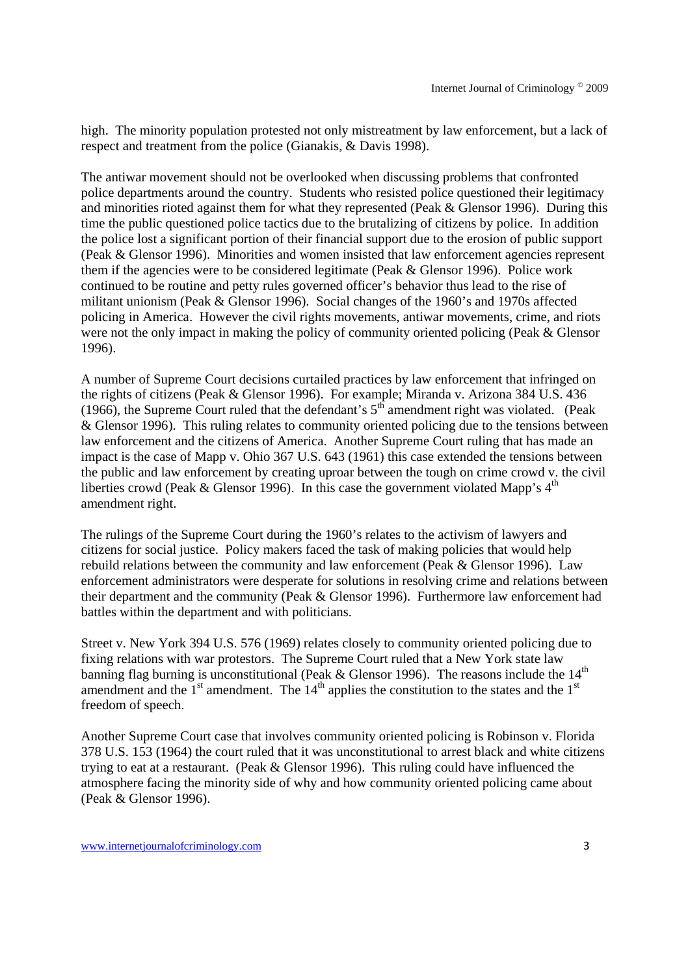high. The minority population protested not only mistreatment by law enforcement, but a lack of respect and treatment from the police (Gianakis, & Davis 1998).

The antiwar movement should not be overlooked when discussing problems that confronted police departments around the country. Students who resisted police questioned their legitimacy and minorities rioted against them for what they represented (Peak  $& G$  Glensor 1996). During this time the public questioned police tactics due to the brutalizing of citizens by police. In addition the police lost a significant portion of their financial support due to the erosion of public support (Peak & Glensor 1996). Minorities and women insisted that law enforcement agencies represent them if the agencies were to be considered legitimate (Peak & Glensor 1996). Police work continued to be routine and petty rules governed officer's behavior thus lead to the rise of militant unionism (Peak & Glensor 1996). Social changes of the 1960's and 1970s affected policing in America. However the civil rights movements, antiwar movements, crime, and riots were not the only impact in making the policy of community oriented policing (Peak & Glensor 1996).

A number of Supreme Court decisions curtailed practices by law enforcement that infringed on the rights of citizens (Peak & Glensor 1996). For example; Miranda v. Arizona 384 U.S. 436 (1966), the Supreme Court ruled that the defendant's  $5<sup>th</sup>$  amendment right was violated. (Peak & Glensor 1996). This ruling relates to community oriented policing due to the tensions between law enforcement and the citizens of America. Another Supreme Court ruling that has made an impact is the case of Mapp v. Ohio 367 U.S. 643 (1961) this case extended the tensions between the public and law enforcement by creating uproar between the tough on crime crowd v. the civil liberties crowd (Peak & Glensor 1996). In this case the government violated Mapp's  $4<sup>th</sup>$ amendment right.

The rulings of the Supreme Court during the 1960's relates to the activism of lawyers and citizens for social justice. Policy makers faced the task of making policies that would help rebuild relations between the community and law enforcement (Peak & Glensor 1996). Law enforcement administrators were desperate for solutions in resolving crime and relations between their department and the community (Peak & Glensor 1996). Furthermore law enforcement had battles within the department and with politicians.

Street v. New York 394 U.S. 576 (1969) relates closely to community oriented policing due to fixing relations with war protestors. The Supreme Court ruled that a New York state law banning flag burning is unconstitutional (Peak & Glensor 1996). The reasons include the  $14<sup>th</sup>$ amendment and the  $1<sup>st</sup>$  amendment. The  $14<sup>th</sup>$  applies the constitution to the states and the  $1<sup>st</sup>$ freedom of speech.

Another Supreme Court case that involves community oriented policing is Robinson v. Florida 378 U.S. 153 (1964) the court ruled that it was unconstitutional to arrest black and white citizens trying to eat at a restaurant. (Peak & Glensor 1996). This ruling could have influenced the atmosphere facing the minority side of why and how community oriented policing came about (Peak & Glensor 1996).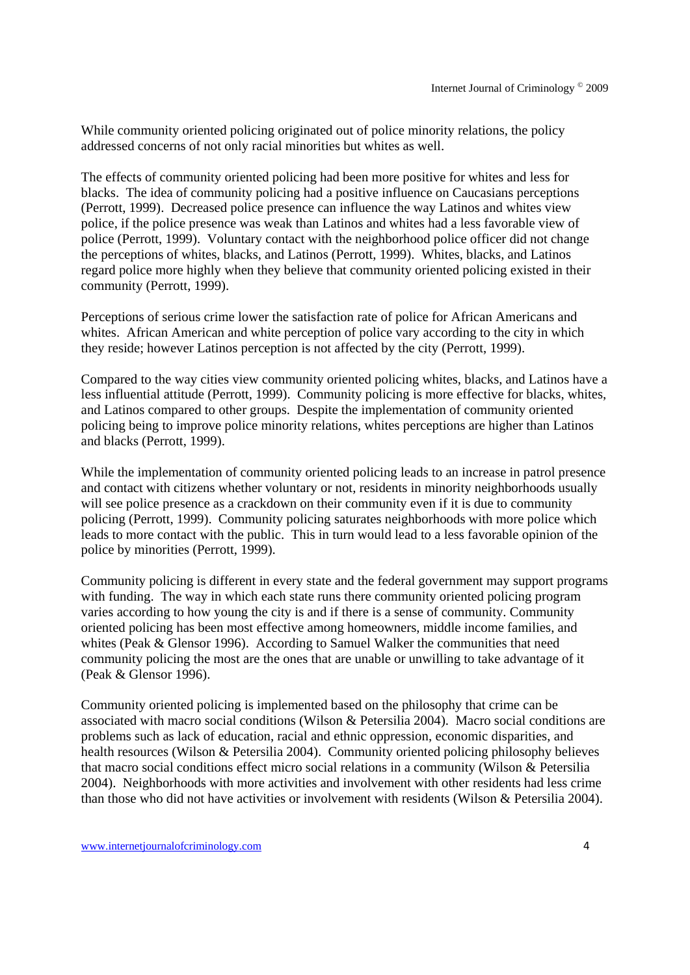While community oriented policing originated out of police minority relations, the policy addressed concerns of not only racial minorities but whites as well.

The effects of community oriented policing had been more positive for whites and less for blacks. The idea of community policing had a positive influence on Caucasians perceptions (Perrott, 1999). Decreased police presence can influence the way Latinos and whites view police, if the police presence was weak than Latinos and whites had a less favorable view of police (Perrott, 1999). Voluntary contact with the neighborhood police officer did not change the perceptions of whites, blacks, and Latinos (Perrott, 1999). Whites, blacks, and Latinos regard police more highly when they believe that community oriented policing existed in their community (Perrott, 1999).

Perceptions of serious crime lower the satisfaction rate of police for African Americans and whites. African American and white perception of police vary according to the city in which they reside; however Latinos perception is not affected by the city (Perrott, 1999).

Compared to the way cities view community oriented policing whites, blacks, and Latinos have a less influential attitude (Perrott, 1999). Community policing is more effective for blacks, whites, and Latinos compared to other groups. Despite the implementation of community oriented policing being to improve police minority relations, whites perceptions are higher than Latinos and blacks (Perrott, 1999).

While the implementation of community oriented policing leads to an increase in patrol presence and contact with citizens whether voluntary or not, residents in minority neighborhoods usually will see police presence as a crackdown on their community even if it is due to community policing (Perrott, 1999). Community policing saturates neighborhoods with more police which leads to more contact with the public. This in turn would lead to a less favorable opinion of the police by minorities (Perrott, 1999).

Community policing is different in every state and the federal government may support programs with funding. The way in which each state runs there community oriented policing program varies according to how young the city is and if there is a sense of community. Community oriented policing has been most effective among homeowners, middle income families, and whites (Peak & Glensor 1996). According to Samuel Walker the communities that need community policing the most are the ones that are unable or unwilling to take advantage of it (Peak & Glensor 1996).

Community oriented policing is implemented based on the philosophy that crime can be associated with macro social conditions (Wilson & Petersilia 2004). Macro social conditions are problems such as lack of education, racial and ethnic oppression, economic disparities, and health resources (Wilson & Petersilia 2004). Community oriented policing philosophy believes that macro social conditions effect micro social relations in a community (Wilson & Petersilia 2004). Neighborhoods with more activities and involvement with other residents had less crime than those who did not have activities or involvement with residents (Wilson & Petersilia 2004).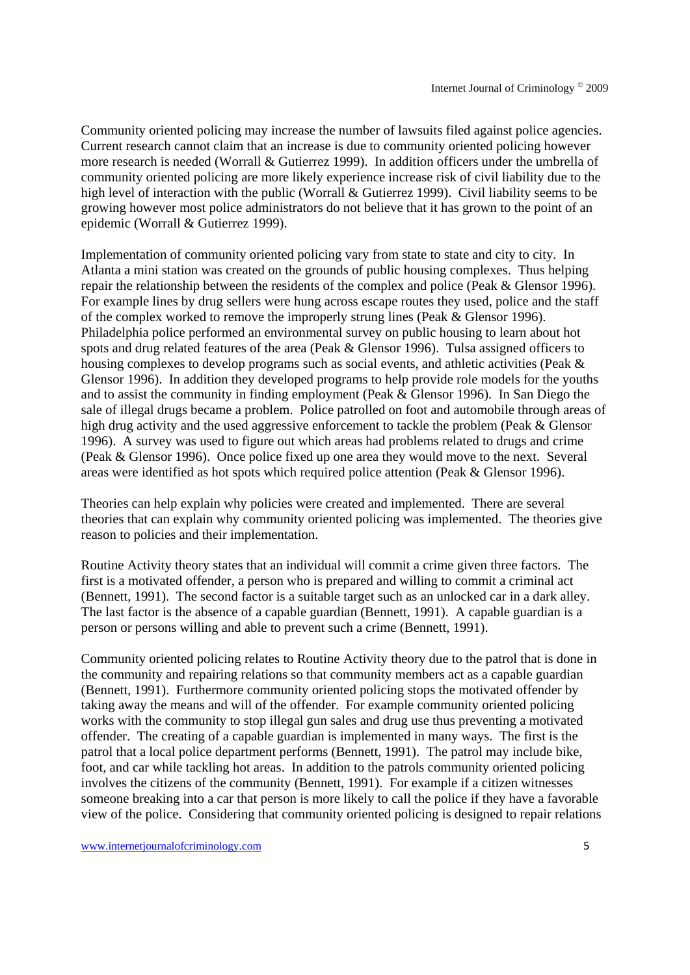Community oriented policing may increase the number of lawsuits filed against police agencies. Current research cannot claim that an increase is due to community oriented policing however more research is needed (Worrall & Gutierrez 1999). In addition officers under the umbrella of community oriented policing are more likely experience increase risk of civil liability due to the high level of interaction with the public (Worrall & Gutierrez 1999). Civil liability seems to be growing however most police administrators do not believe that it has grown to the point of an epidemic (Worrall & Gutierrez 1999).

Implementation of community oriented policing vary from state to state and city to city. In Atlanta a mini station was created on the grounds of public housing complexes. Thus helping repair the relationship between the residents of the complex and police (Peak & Glensor 1996). For example lines by drug sellers were hung across escape routes they used, police and the staff of the complex worked to remove the improperly strung lines (Peak & Glensor 1996). Philadelphia police performed an environmental survey on public housing to learn about hot spots and drug related features of the area (Peak & Glensor 1996). Tulsa assigned officers to housing complexes to develop programs such as social events, and athletic activities (Peak & Glensor 1996). In addition they developed programs to help provide role models for the youths and to assist the community in finding employment (Peak & Glensor 1996). In San Diego the sale of illegal drugs became a problem. Police patrolled on foot and automobile through areas of high drug activity and the used aggressive enforcement to tackle the problem (Peak & Glensor 1996). A survey was used to figure out which areas had problems related to drugs and crime (Peak & Glensor 1996). Once police fixed up one area they would move to the next. Several areas were identified as hot spots which required police attention (Peak & Glensor 1996).

Theories can help explain why policies were created and implemented. There are several theories that can explain why community oriented policing was implemented. The theories give reason to policies and their implementation.

Routine Activity theory states that an individual will commit a crime given three factors. The first is a motivated offender, a person who is prepared and willing to commit a criminal act (Bennett, 1991). The second factor is a suitable target such as an unlocked car in a dark alley. The last factor is the absence of a capable guardian (Bennett, 1991). A capable guardian is a person or persons willing and able to prevent such a crime (Bennett, 1991).

Community oriented policing relates to Routine Activity theory due to the patrol that is done in the community and repairing relations so that community members act as a capable guardian (Bennett, 1991). Furthermore community oriented policing stops the motivated offender by taking away the means and will of the offender. For example community oriented policing works with the community to stop illegal gun sales and drug use thus preventing a motivated offender. The creating of a capable guardian is implemented in many ways. The first is the patrol that a local police department performs (Bennett, 1991). The patrol may include bike, foot, and car while tackling hot areas. In addition to the patrols community oriented policing involves the citizens of the community (Bennett, 1991). For example if a citizen witnesses someone breaking into a car that person is more likely to call the police if they have a favorable view of the police. Considering that community oriented policing is designed to repair relations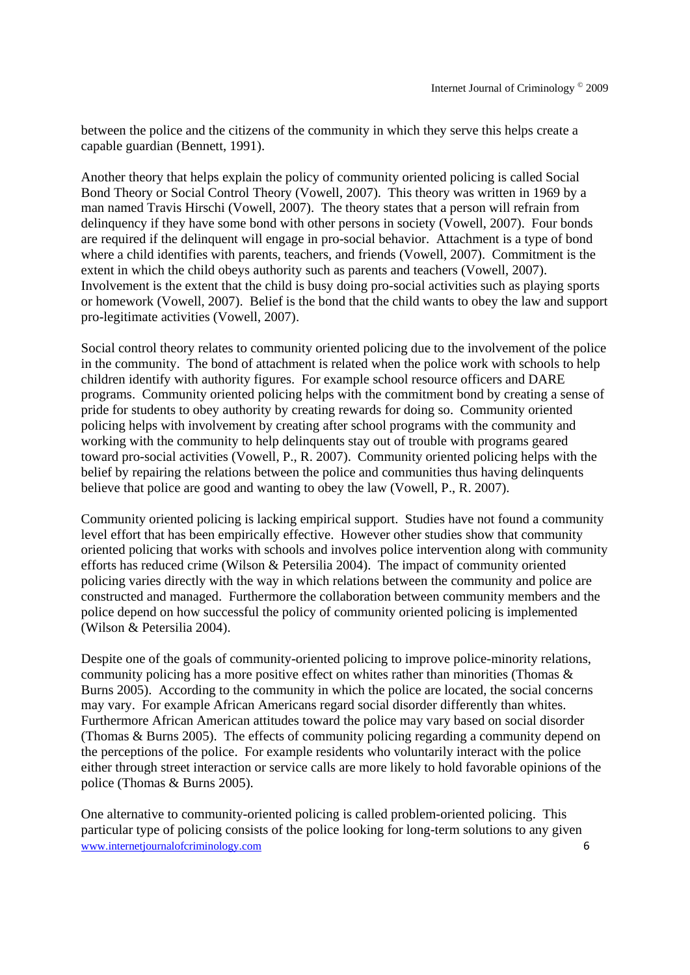between the police and the citizens of the community in which they serve this helps create a capable guardian (Bennett, 1991).

Another theory that helps explain the policy of community oriented policing is called Social Bond Theory or Social Control Theory (Vowell, 2007). This theory was written in 1969 by a man named Travis Hirschi (Vowell, 2007). The theory states that a person will refrain from delinquency if they have some bond with other persons in society (Vowell, 2007). Four bonds are required if the delinquent will engage in pro-social behavior. Attachment is a type of bond where a child identifies with parents, teachers, and friends (Vowell, 2007). Commitment is the extent in which the child obeys authority such as parents and teachers (Vowell, 2007). Involvement is the extent that the child is busy doing pro-social activities such as playing sports or homework (Vowell, 2007). Belief is the bond that the child wants to obey the law and support pro-legitimate activities (Vowell, 2007).

Social control theory relates to community oriented policing due to the involvement of the police in the community. The bond of attachment is related when the police work with schools to help children identify with authority figures. For example school resource officers and DARE programs. Community oriented policing helps with the commitment bond by creating a sense of pride for students to obey authority by creating rewards for doing so. Community oriented policing helps with involvement by creating after school programs with the community and working with the community to help delinquents stay out of trouble with programs geared toward pro-social activities (Vowell, P., R. 2007). Community oriented policing helps with the belief by repairing the relations between the police and communities thus having delinquents believe that police are good and wanting to obey the law (Vowell, P., R. 2007).

Community oriented policing is lacking empirical support. Studies have not found a community level effort that has been empirically effective. However other studies show that community oriented policing that works with schools and involves police intervention along with community efforts has reduced crime (Wilson & Petersilia 2004). The impact of community oriented policing varies directly with the way in which relations between the community and police are constructed and managed. Furthermore the collaboration between community members and the police depend on how successful the policy of community oriented policing is implemented (Wilson & Petersilia 2004).

Despite one of the goals of community-oriented policing to improve police-minority relations, community policing has a more positive effect on whites rather than minorities (Thomas & Burns 2005). According to the community in which the police are located, the social concerns may vary. For example African Americans regard social disorder differently than whites. Furthermore African American attitudes toward the police may vary based on social disorder (Thomas & Burns 2005). The effects of community policing regarding a community depend on the perceptions of the police. For example residents who voluntarily interact with the police either through street interaction or service calls are more likely to hold favorable opinions of the police (Thomas & Burns 2005).

www.internetiournalofcriminology.com 6 One alternative to community-oriented policing is called problem-oriented policing. This particular type of policing consists of the police looking for long-term solutions to any given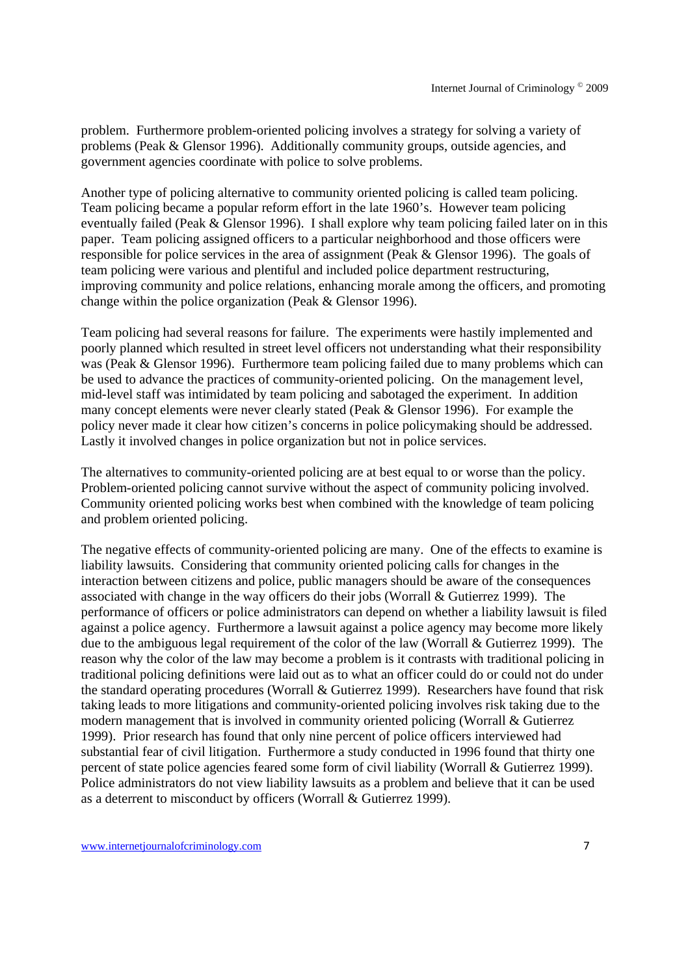problem. Furthermore problem-oriented policing involves a strategy for solving a variety of problems (Peak & Glensor 1996). Additionally community groups, outside agencies, and government agencies coordinate with police to solve problems.

Another type of policing alternative to community oriented policing is called team policing. Team policing became a popular reform effort in the late 1960's. However team policing eventually failed (Peak & Glensor 1996). I shall explore why team policing failed later on in this paper. Team policing assigned officers to a particular neighborhood and those officers were responsible for police services in the area of assignment (Peak & Glensor 1996). The goals of team policing were various and plentiful and included police department restructuring, improving community and police relations, enhancing morale among the officers, and promoting change within the police organization (Peak & Glensor 1996).

Team policing had several reasons for failure. The experiments were hastily implemented and poorly planned which resulted in street level officers not understanding what their responsibility was (Peak & Glensor 1996). Furthermore team policing failed due to many problems which can be used to advance the practices of community-oriented policing. On the management level, mid-level staff was intimidated by team policing and sabotaged the experiment. In addition many concept elements were never clearly stated (Peak & Glensor 1996). For example the policy never made it clear how citizen's concerns in police policymaking should be addressed. Lastly it involved changes in police organization but not in police services.

The alternatives to community-oriented policing are at best equal to or worse than the policy. Problem-oriented policing cannot survive without the aspect of community policing involved. Community oriented policing works best when combined with the knowledge of team policing and problem oriented policing.

The negative effects of community-oriented policing are many. One of the effects to examine is liability lawsuits. Considering that community oriented policing calls for changes in the interaction between citizens and police, public managers should be aware of the consequences associated with change in the way officers do their jobs (Worrall & Gutierrez 1999). The performance of officers or police administrators can depend on whether a liability lawsuit is filed against a police agency. Furthermore a lawsuit against a police agency may become more likely due to the ambiguous legal requirement of the color of the law (Worrall & Gutierrez 1999). The reason why the color of the law may become a problem is it contrasts with traditional policing in traditional policing definitions were laid out as to what an officer could do or could not do under the standard operating procedures (Worrall & Gutierrez 1999). Researchers have found that risk taking leads to more litigations and community-oriented policing involves risk taking due to the modern management that is involved in community oriented policing (Worrall & Gutierrez 1999). Prior research has found that only nine percent of police officers interviewed had substantial fear of civil litigation. Furthermore a study conducted in 1996 found that thirty one percent of state police agencies feared some form of civil liability (Worrall & Gutierrez 1999). Police administrators do not view liability lawsuits as a problem and believe that it can be used as a deterrent to misconduct by officers (Worrall & Gutierrez 1999).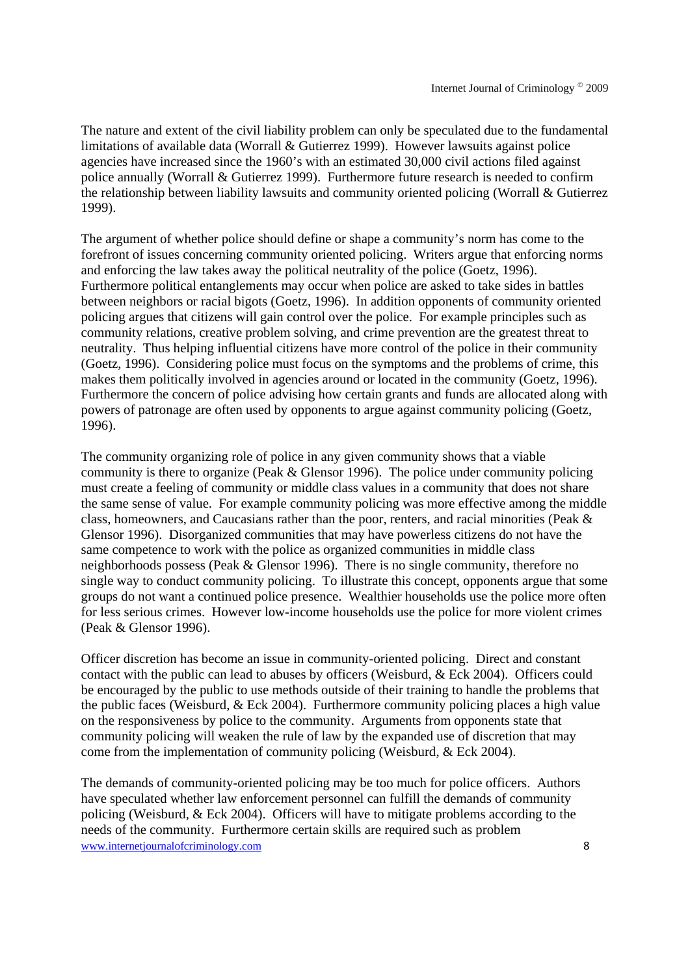The nature and extent of the civil liability problem can only be speculated due to the fundamental limitations of available data (Worrall & Gutierrez 1999). However lawsuits against police agencies have increased since the 1960's with an estimated 30,000 civil actions filed against police annually (Worrall & Gutierrez 1999). Furthermore future research is needed to confirm the relationship between liability lawsuits and community oriented policing (Worrall & Gutierrez 1999).

The argument of whether police should define or shape a community's norm has come to the forefront of issues concerning community oriented policing. Writers argue that enforcing norms and enforcing the law takes away the political neutrality of the police (Goetz, 1996). Furthermore political entanglements may occur when police are asked to take sides in battles between neighbors or racial bigots (Goetz, 1996). In addition opponents of community oriented policing argues that citizens will gain control over the police. For example principles such as community relations, creative problem solving, and crime prevention are the greatest threat to neutrality. Thus helping influential citizens have more control of the police in their community (Goetz, 1996). Considering police must focus on the symptoms and the problems of crime, this makes them politically involved in agencies around or located in the community (Goetz, 1996). Furthermore the concern of police advising how certain grants and funds are allocated along with powers of patronage are often used by opponents to argue against community policing (Goetz, 1996).

The community organizing role of police in any given community shows that a viable community is there to organize (Peak & Glensor 1996). The police under community policing must create a feeling of community or middle class values in a community that does not share the same sense of value. For example community policing was more effective among the middle class, homeowners, and Caucasians rather than the poor, renters, and racial minorities (Peak & Glensor 1996). Disorganized communities that may have powerless citizens do not have the same competence to work with the police as organized communities in middle class neighborhoods possess (Peak & Glensor 1996). There is no single community, therefore no single way to conduct community policing. To illustrate this concept, opponents argue that some groups do not want a continued police presence. Wealthier households use the police more often for less serious crimes. However low-income households use the police for more violent crimes (Peak & Glensor 1996).

Officer discretion has become an issue in community-oriented policing. Direct and constant contact with the public can lead to abuses by officers (Weisburd, & Eck 2004). Officers could be encouraged by the public to use methods outside of their training to handle the problems that the public faces (Weisburd, & Eck 2004). Furthermore community policing places a high value on the responsiveness by police to the community. Arguments from opponents state that community policing will weaken the rule of law by the expanded use of discretion that may come from the implementation of community policing (Weisburd, & Eck 2004).

www.internetiournalofcriminology.com 8 The demands of community-oriented policing may be too much for police officers. Authors have speculated whether law enforcement personnel can fulfill the demands of community policing (Weisburd, & Eck 2004). Officers will have to mitigate problems according to the needs of the community. Furthermore certain skills are required such as problem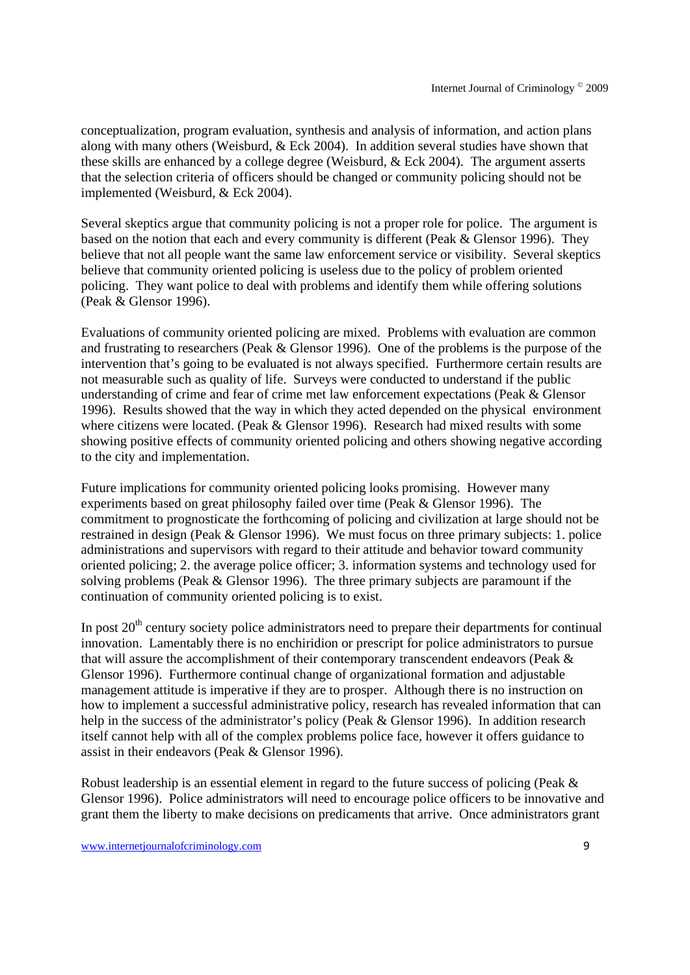conceptualization, program evaluation, synthesis and analysis of information, and action plans along with many others (Weisburd, & Eck 2004). In addition several studies have shown that these skills are enhanced by a college degree (Weisburd, & Eck 2004). The argument asserts that the selection criteria of officers should be changed or community policing should not be implemented (Weisburd, & Eck 2004).

Several skeptics argue that community policing is not a proper role for police. The argument is based on the notion that each and every community is different (Peak & Glensor 1996). They believe that not all people want the same law enforcement service or visibility. Several skeptics believe that community oriented policing is useless due to the policy of problem oriented policing. They want police to deal with problems and identify them while offering solutions (Peak & Glensor 1996).

Evaluations of community oriented policing are mixed. Problems with evaluation are common and frustrating to researchers (Peak & Glensor 1996). One of the problems is the purpose of the intervention that's going to be evaluated is not always specified. Furthermore certain results are not measurable such as quality of life. Surveys were conducted to understand if the public understanding of crime and fear of crime met law enforcement expectations (Peak & Glensor 1996). Results showed that the way in which they acted depended on the physical environment where citizens were located. (Peak & Glensor 1996). Research had mixed results with some showing positive effects of community oriented policing and others showing negative according to the city and implementation.

Future implications for community oriented policing looks promising. However many experiments based on great philosophy failed over time (Peak & Glensor 1996). The commitment to prognosticate the forthcoming of policing and civilization at large should not be restrained in design (Peak & Glensor 1996). We must focus on three primary subjects: 1. police administrations and supervisors with regard to their attitude and behavior toward community oriented policing; 2. the average police officer; 3. information systems and technology used for solving problems (Peak & Glensor 1996). The three primary subjects are paramount if the continuation of community oriented policing is to exist.

In post  $20<sup>th</sup>$  century society police administrators need to prepare their departments for continual innovation. Lamentably there is no enchiridion or prescript for police administrators to pursue that will assure the accomplishment of their contemporary transcendent endeavors (Peak & Glensor 1996). Furthermore continual change of organizational formation and adjustable management attitude is imperative if they are to prosper. Although there is no instruction on how to implement a successful administrative policy, research has revealed information that can help in the success of the administrator's policy (Peak & Glensor 1996). In addition research itself cannot help with all of the complex problems police face, however it offers guidance to assist in their endeavors (Peak & Glensor 1996).

Robust leadership is an essential element in regard to the future success of policing (Peak & Glensor 1996). Police administrators will need to encourage police officers to be innovative and grant them the liberty to make decisions on predicaments that arrive. Once administrators grant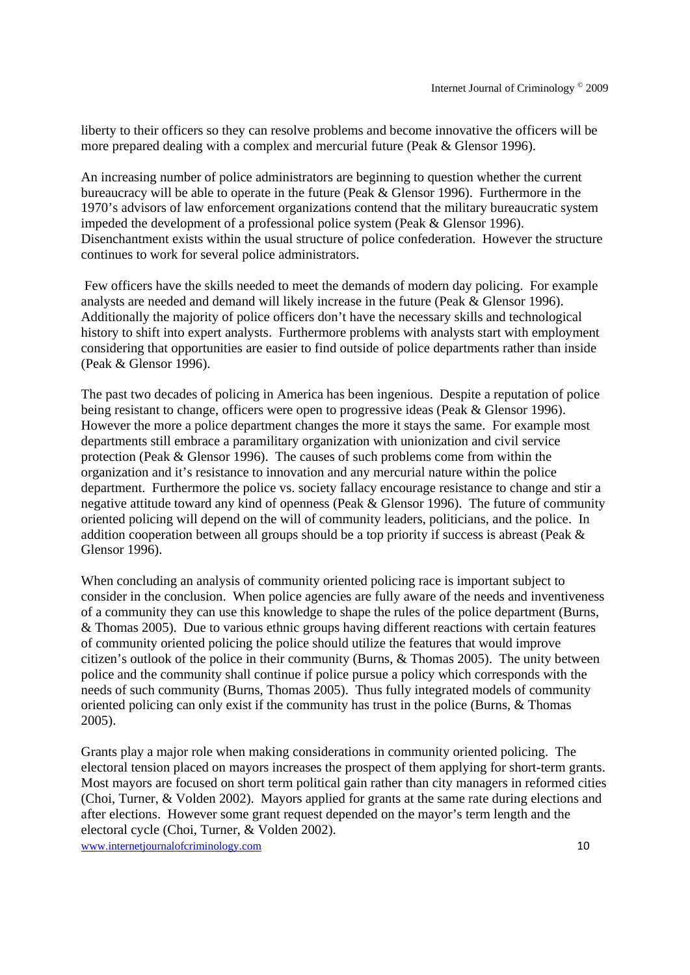liberty to their officers so they can resolve problems and become innovative the officers will be more prepared dealing with a complex and mercurial future (Peak & Glensor 1996).

An increasing number of police administrators are beginning to question whether the current bureaucracy will be able to operate in the future (Peak & Glensor 1996). Furthermore in the 1970's advisors of law enforcement organizations contend that the military bureaucratic system impeded the development of a professional police system (Peak & Glensor 1996). Disenchantment exists within the usual structure of police confederation. However the structure continues to work for several police administrators.

 Few officers have the skills needed to meet the demands of modern day policing. For example analysts are needed and demand will likely increase in the future (Peak & Glensor 1996). Additionally the majority of police officers don't have the necessary skills and technological history to shift into expert analysts. Furthermore problems with analysts start with employment considering that opportunities are easier to find outside of police departments rather than inside (Peak & Glensor 1996).

The past two decades of policing in America has been ingenious. Despite a reputation of police being resistant to change, officers were open to progressive ideas (Peak & Glensor 1996). However the more a police department changes the more it stays the same. For example most departments still embrace a paramilitary organization with unionization and civil service protection (Peak & Glensor 1996). The causes of such problems come from within the organization and it's resistance to innovation and any mercurial nature within the police department. Furthermore the police vs. society fallacy encourage resistance to change and stir a negative attitude toward any kind of openness (Peak & Glensor 1996). The future of community oriented policing will depend on the will of community leaders, politicians, and the police. In addition cooperation between all groups should be a top priority if success is abreast (Peak & Glensor 1996).

When concluding an analysis of community oriented policing race is important subject to consider in the conclusion. When police agencies are fully aware of the needs and inventiveness of a community they can use this knowledge to shape the rules of the police department (Burns, & Thomas 2005). Due to various ethnic groups having different reactions with certain features of community oriented policing the police should utilize the features that would improve citizen's outlook of the police in their community (Burns, & Thomas 2005). The unity between police and the community shall continue if police pursue a policy which corresponds with the needs of such community (Burns, Thomas 2005). Thus fully integrated models of community oriented policing can only exist if the community has trust in the police (Burns, & Thomas 2005).

www.internetiournalofcriminology.com 10 Grants play a major role when making considerations in community oriented policing. The electoral tension placed on mayors increases the prospect of them applying for short-term grants. Most mayors are focused on short term political gain rather than city managers in reformed cities (Choi, Turner, & Volden 2002). Mayors applied for grants at the same rate during elections and after elections. However some grant request depended on the mayor's term length and the electoral cycle (Choi, Turner, & Volden 2002).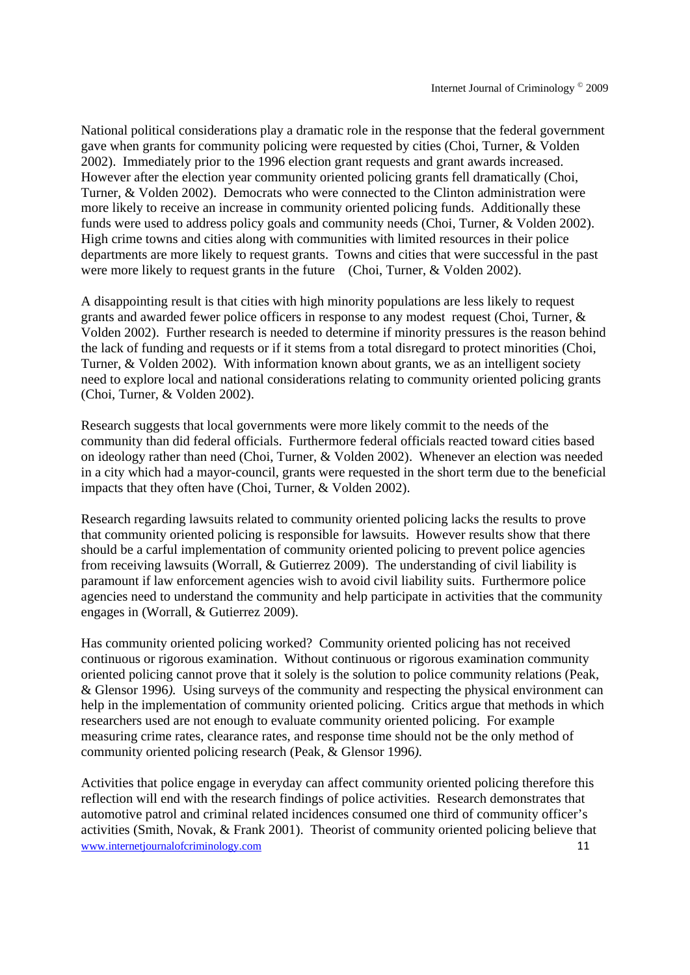National political considerations play a dramatic role in the response that the federal government gave when grants for community policing were requested by cities (Choi, Turner, & Volden 2002). Immediately prior to the 1996 election grant requests and grant awards increased. However after the election year community oriented policing grants fell dramatically (Choi, Turner, & Volden 2002). Democrats who were connected to the Clinton administration were more likely to receive an increase in community oriented policing funds. Additionally these funds were used to address policy goals and community needs (Choi, Turner, & Volden 2002). High crime towns and cities along with communities with limited resources in their police departments are more likely to request grants. Towns and cities that were successful in the past were more likely to request grants in the future (Choi, Turner, & Volden 2002).

A disappointing result is that cities with high minority populations are less likely to request grants and awarded fewer police officers in response to any modest request (Choi, Turner, & Volden 2002). Further research is needed to determine if minority pressures is the reason behind the lack of funding and requests or if it stems from a total disregard to protect minorities (Choi, Turner, & Volden 2002). With information known about grants, we as an intelligent society need to explore local and national considerations relating to community oriented policing grants (Choi, Turner, & Volden 2002).

Research suggests that local governments were more likely commit to the needs of the community than did federal officials. Furthermore federal officials reacted toward cities based on ideology rather than need (Choi, Turner, & Volden 2002). Whenever an election was needed in a city which had a mayor-council, grants were requested in the short term due to the beneficial impacts that they often have (Choi, Turner, & Volden 2002).

Research regarding lawsuits related to community oriented policing lacks the results to prove that community oriented policing is responsible for lawsuits. However results show that there should be a carful implementation of community oriented policing to prevent police agencies from receiving lawsuits (Worrall, & Gutierrez 2009). The understanding of civil liability is paramount if law enforcement agencies wish to avoid civil liability suits. Furthermore police agencies need to understand the community and help participate in activities that the community engages in (Worrall, & Gutierrez 2009).

Has community oriented policing worked? Community oriented policing has not received continuous or rigorous examination. Without continuous or rigorous examination community oriented policing cannot prove that it solely is the solution to police community relations (Peak, & Glensor 1996*).* Using surveys of the community and respecting the physical environment can help in the implementation of community oriented policing. Critics argue that methods in which researchers used are not enough to evaluate community oriented policing. For example measuring crime rates, clearance rates, and response time should not be the only method of community oriented policing research (Peak, & Glensor 1996*).* 

www.internetiournalofcriminology.com 11 Activities that police engage in everyday can affect community oriented policing therefore this reflection will end with the research findings of police activities. Research demonstrates that automotive patrol and criminal related incidences consumed one third of community officer's activities (Smith, Novak, & Frank 2001). Theorist of community oriented policing believe that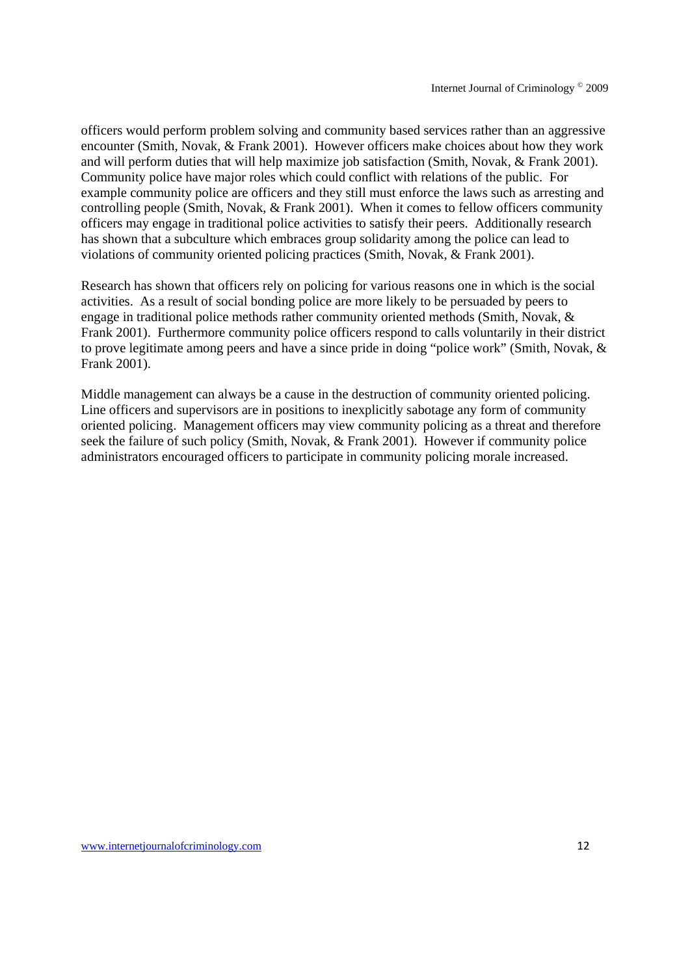officers would perform problem solving and community based services rather than an aggressive encounter (Smith, Novak, & Frank 2001). However officers make choices about how they work and will perform duties that will help maximize job satisfaction (Smith, Novak, & Frank 2001). Community police have major roles which could conflict with relations of the public. For example community police are officers and they still must enforce the laws such as arresting and controlling people (Smith, Novak, & Frank 2001). When it comes to fellow officers community officers may engage in traditional police activities to satisfy their peers. Additionally research has shown that a subculture which embraces group solidarity among the police can lead to violations of community oriented policing practices (Smith, Novak, & Frank 2001).

Research has shown that officers rely on policing for various reasons one in which is the social activities. As a result of social bonding police are more likely to be persuaded by peers to engage in traditional police methods rather community oriented methods (Smith, Novak, & Frank 2001). Furthermore community police officers respond to calls voluntarily in their district to prove legitimate among peers and have a since pride in doing "police work" (Smith, Novak, & Frank 2001).

Middle management can always be a cause in the destruction of community oriented policing. Line officers and supervisors are in positions to inexplicitly sabotage any form of community oriented policing. Management officers may view community policing as a threat and therefore seek the failure of such policy (Smith, Novak, & Frank 2001). However if community police administrators encouraged officers to participate in community policing morale increased.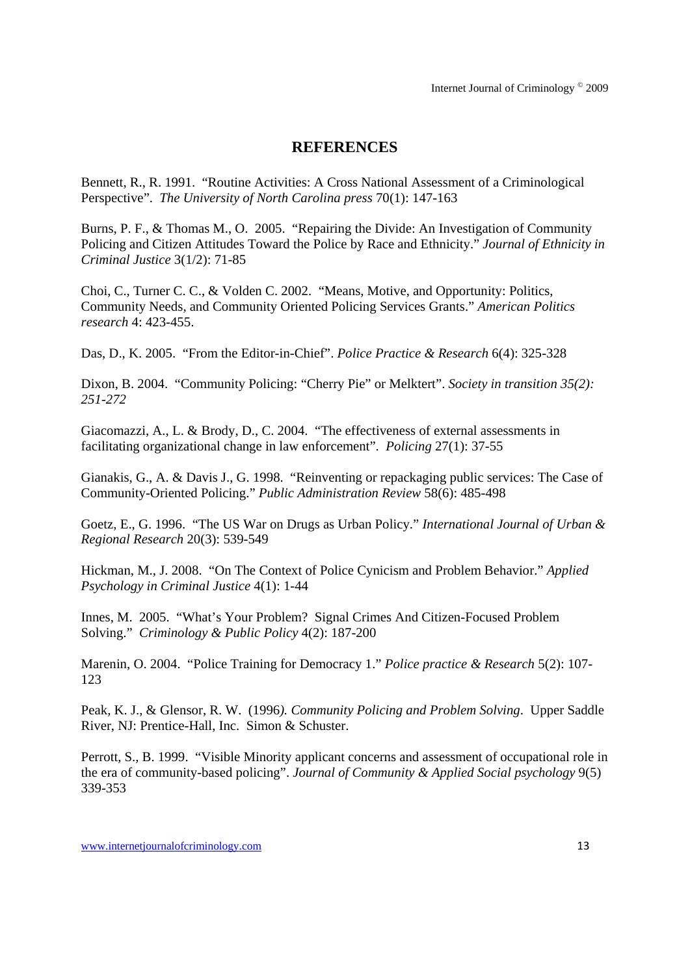## **REFERENCES**

Bennett, R., R. 1991. "Routine Activities: A Cross National Assessment of a Criminological Perspective". *The University of North Carolina press* 70(1): 147-163

Burns, P. F., & Thomas M., O. 2005. "Repairing the Divide: An Investigation of Community Policing and Citizen Attitudes Toward the Police by Race and Ethnicity." *Journal of Ethnicity in Criminal Justice* 3(1/2): 71-85

Choi, C., Turner C. C., & Volden C. 2002. "Means, Motive, and Opportunity: Politics, Community Needs, and Community Oriented Policing Services Grants." *American Politics research* 4: 423-455.

Das, D., K. 2005. "From the Editor-in-Chief". *Police Practice & Research* 6(4): 325-328

Dixon, B. 2004. "Community Policing: "Cherry Pie" or Melktert". *Society in transition 35(2): 251-272*

Giacomazzi, A., L. & Brody, D., C. 2004. "The effectiveness of external assessments in facilitating organizational change in law enforcement". *Policing* 27(1): 37-55

Gianakis, G., A. & Davis J., G. 1998. "Reinventing or repackaging public services: The Case of Community-Oriented Policing." *Public Administration Review* 58(6): 485-498

Goetz, E., G. 1996. "The US War on Drugs as Urban Policy." *International Journal of Urban & Regional Research* 20(3): 539-549

Hickman, M., J. 2008. "On The Context of Police Cynicism and Problem Behavior." *Applied Psychology in Criminal Justice* 4(1): 1-44

Innes, M. 2005. "What's Your Problem? Signal Crimes And Citizen-Focused Problem Solving." *Criminology & Public Policy* 4(2): 187-200

Marenin, O. 2004. "Police Training for Democracy 1." *Police practice & Research* 5(2): 107- 123

Peak, K. J., & Glensor, R. W. (1996*). Community Policing and Problem Solving*. Upper Saddle River, NJ: Prentice-Hall, Inc. Simon & Schuster.

Perrott, S., B. 1999. "Visible Minority applicant concerns and assessment of occupational role in the era of community-based policing". *Journal of Community & Applied Social psychology* 9(5) 339-353